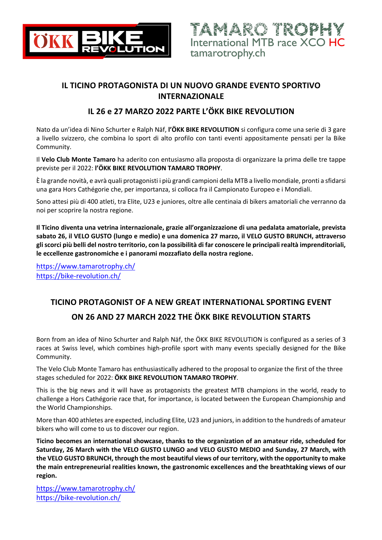

## **IL TICINO PROTAGONISTA DI UN NUOVO GRANDE EVENTO SPORTIVO INTERNAZIONALE**

### **IL 26 e 27 MARZO 2022 PARTE L'ÖKK BIKE REVOLUTION**

Nato da un'idea di Nino Schurter e Ralph Näf, **l'ÖKK BIKE REVOLUTION** si configura come una serie di 3 gare a livello svizzero, che combina lo sport di alto profilo con tanti eventi appositamente pensati per la Bike Community.

Il **Velo Club Monte Tamaro** ha aderito con entusiasmo alla proposta di organizzare la prima delle tre tappe previste per il 2022: **l'ÖKK BIKE REVOLUTION TAMARO TROPHY**.

È la grande novità, e avrà quali protagonisti i più grandi campioni della MTB a livello mondiale, pronti a sfidarsi una gara Hors Cathégorie che, per importanza, si colloca fra il Campionato Europeo e i Mondiali.

Sono attesi più di 400 atleti, tra Elite, U23 e juniores, oltre alle centinaia di bikers amatoriali che verranno da noi per scoprire la nostra regione.

**Il Ticino diventa una vetrina internazionale, grazie all'organizzazione di una pedalata amatoriale, prevista sabato 26, il VELO GUSTO (lungo e medio) e una domenica 27 marzo, il VELO GUSTO BRUNCH, attraverso gli scorci più belli del nostro territorio, con la possibilità di far conoscere le principali realtà imprenditoriali, le eccellenze gastronomiche e i panorami mozzafiato della nostra regione.**

https://www.tamarotrophy.ch/ https://bike-revolution.ch/

# **TICINO PROTAGONIST OF A NEW GREAT INTERNATIONAL SPORTING EVENT ON 26 AND 27 MARCH 2022 THE ÖKK BIKE REVOLUTION STARTS**

Born from an idea of Nino Schurter and Ralph Näf, the ÖKK BIKE REVOLUTION is configured as a series of 3 races at Swiss level, which combines high-profile sport with many events specially designed for the Bike Community.

The Velo Club Monte Tamaro has enthusiastically adhered to the proposal to organize the first of the three stages scheduled for 2022: **ÖKK BIKE REVOLUTION TAMARO TROPHY**.

This is the big news and it will have as protagonists the greatest MTB champions in the world, ready to challenge a Hors Cathégorie race that, for importance, is located between the European Championship and the World Championships.

More than 400 athletes are expected, including Elite, U23 and juniors, in addition to the hundreds of amateur bikers who will come to us to discover our region.

**Ticino becomes an international showcase, thanks to the organization of an amateur ride, scheduled for Saturday, 26 March with the VELO GUSTO LUNGO and VELO GUSTO MEDIO and Sunday, 27 March, with the VELO GUSTO BRUNCH, through the most beautiful views of our territory, with the opportunity to make the main entrepreneurial realities known, the gastronomic excellences and the breathtaking views of our region.**

https://www.tamarotrophy.ch/ https://bike-revolution.ch/